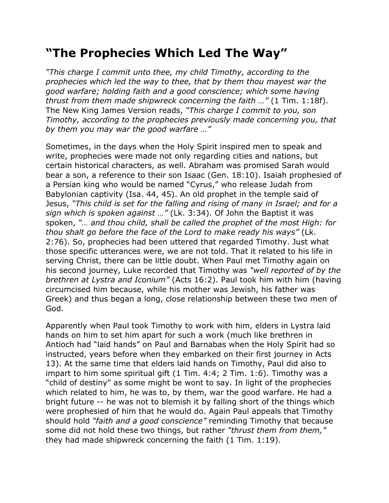## **"The Prophecies Which Led The Way"**

*"This charge I commit unto thee, my child Timothy, according to the prophecies which led the way to thee, that by them thou mayest war the good warfare; holding faith and a good conscience; which some having thrust from them made shipwreck concerning the faith …"* (1 Tim. 1:18f). The New King James Version reads, *"This charge I commit to you, son Timothy, according to the prophecies previously made concerning you, that by them you may war the good warfare …"*

Sometimes, in the days when the Holy Spirit inspired men to speak and write, prophecies were made not only regarding cities and nations, but certain historical characters, as well. Abraham was promised Sarah would bear a son, a reference to their son Isaac (Gen. 18:10). Isaiah prophesied of a Persian king who would be named "Cyrus," who release Judah from Babylonian captivity (Isa. 44, 45). An old prophet in the temple said of Jesus, *"This child is set for the falling and rising of many in Israel; and for a sign which is spoken against …"* (Lk. 3:34). Of John the Baptist it was spoken, *"… and thou child, shall be called the prophet of the most High: for thou shalt go before the face of the Lord to make ready his ways"* (Lk. 2:76). So, prophecies had been uttered that regarded Timothy. Just what those specific utterances were, we are not told. That it related to his life in serving Christ, there can be little doubt. When Paul met Timothy again on his second journey, Luke recorded that Timothy was *"well reported of by the brethren at Lystra and Iconium"* (Acts 16:2). Paul took him with him (having circumcised him because, while his mother was Jewish, his father was Greek) and thus began a long, close relationship between these two men of God.

Apparently when Paul took Timothy to work with him, elders in Lystra laid hands on him to set him apart for such a work (much like brethren in Antioch had "laid hands" on Paul and Barnabas when the Holy Spirit had so instructed, years before when they embarked on their first journey in Acts 13). At the same time that elders laid hands on Timothy, Paul did also to impart to him some spiritual gift (1 Tim. 4:4; 2 Tim. 1:6). Timothy was a "child of destiny" as some might be wont to say. In light of the prophecies which related to him, he was to, by them, war the good warfare. He had a bright future -- he was not to blemish it by falling short of the things which were prophesied of him that he would do. Again Paul appeals that Timothy should hold *"faith and a good conscience"* reminding Timothy that because some did not hold these two things, but rather *"thrust them from them,"* they had made shipwreck concerning the faith (1 Tim. 1:19).